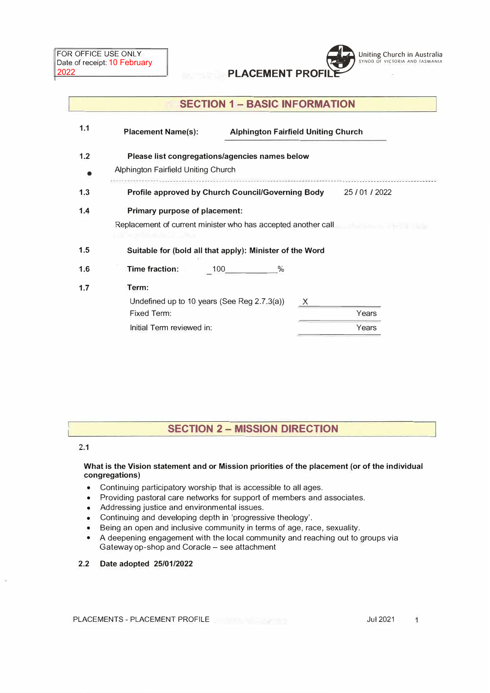

# **SECTION 1 - BASIC INFORMATION**

| <b>Placement Name(s):</b> |                                     |                                                               | <b>Alphington Fairfield Uniting Church</b> |       |  |
|---------------------------|-------------------------------------|---------------------------------------------------------------|--------------------------------------------|-------|--|
|                           | Alphington Fairfield Uniting Church | Please list congregations/agencies names below                |                                            |       |  |
|                           |                                     | Profile approved by Church Council/Governing Body 25/01/2022  |                                            |       |  |
|                           | Primary purpose of placement:       | Replacement of current minister who has accepted another call |                                            |       |  |
|                           |                                     | Suitable for (bold all that apply): Minister of the Word      |                                            |       |  |
| Time fraction:            |                                     | $\%$<br>100                                                   |                                            |       |  |
| Term:                     |                                     | Undefined up to 10 years (See Reg 2.7.3(a))                   | $\mathsf{X}$                               |       |  |
| Fixed Term:               |                                     |                                                               |                                            | Years |  |
|                           | Initial Term reviewed in:           |                                                               |                                            | Years |  |
|                           |                                     |                                                               |                                            |       |  |

## **SECTION 2 - MISSION DIRECTION**

### **2.1**

#### **What is the Vision statement and or Mission priorities of the placement (or of the individual congregations)**

- Continuing participatory worship that is accessible to all ages.
- Providing pastoral care networks for support of members and associates.
- Addressing justice and environmental issues.
- Continuing and developing depth in 'progressive theology'.
- Being an open and inclusive community in terms of age, race, sexuality.
- A deepening engagement with the local community and reaching out to groups via Gateway op-shop and Coracle - see attachment

### **2.2 Date adopted 25/01/2022**

PLACEMENTS - PLACEMENT PROFILE Jul 2021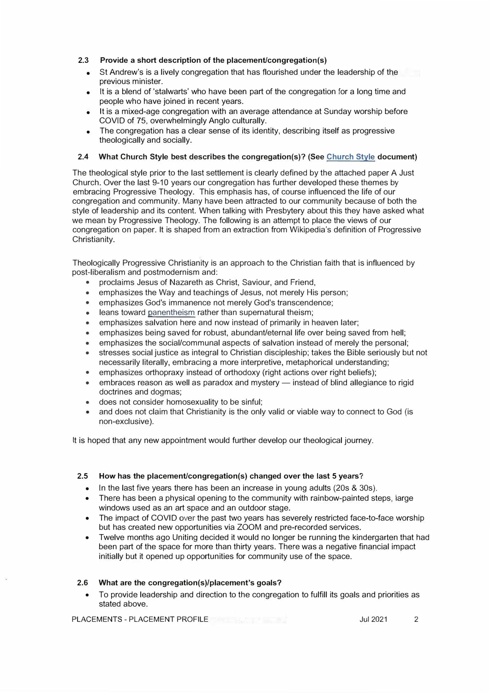#### **2.3** Provide a short description of the placement/congregation(s)

- St Andrew's is a lively congregation that has flourished under the leadership of the previous minister.
- It is a blend of 'stalwarts' who have been part of the congregation for a long time and people who have joined in recent years.
- It is a mixed-age congregation with an average attendance at Sunday worship before COVID of 75, overwhelmingly Anglo culturally.
- The congregation has a clear sense of its identity, describing itself as progressive theologically and socially.

#### **2.4 What Church Style best describes the congregation(s)? (See Church Style document)**

The theological style prior to the last settlement is clearly defined by the attached paper A Just Church. Over the last 9-10 years our congregation has further developed these themes by embracing Progressive Theology. This emphasis has, of course influenced the life of our congregation and community. Many have been attracted to our community because of both the style of leadership and its content. When talking with Presbytery about this they have asked what we mean by Progressive Theology. The following is an attempt to place the views of our congregation on paper. It is shaped from an extraction from Wikipedia's definition of Progressive Christianity.

Theologically Progressive Christianity is an approach to the Christian faith that is influenced by post-liberalism and postmodernism and:

- proclaims Jesus of Nazareth as Christ, Saviour, and Friend, •
- emphasizes the Way and teachings of Jesus, not merely His person;
- emphasizes God's immanence not merely God's transcendence;
- leans toward panentheism rather than supernatural theism;
- emphasizes salvation here and now instead of primarily in heaven later;
- emphasizes being saved for robust, abundant/eternal life over being saved from hell;
- emphasizes the social/communal aspects of salvation instead of merely the personal;
- stresses social justice as integral to Christian discipleship; takes the Bible seriously but not necessarily literally, embracing a more interpretive, metaphorical understanding;
- emphasizes orthopraxy instead of orthodoxy (right actions over right beliefs);
- embraces reason as well as paradox and mystery instead of blind allegiance to rigid doctrines and dogmas;
- does not consider homosexuality to be sinful;
- and does not claim that Christianity is the only valid or viable way to connect to God (is non-exclusive).

It is hoped that any new appointment would further develop our theological journey.

#### **2.5 How has the placemenUcongregation(s) changed over the last 5 years?**

- In the last *five* years there has been an increase in young adults (20s & 30s).
- There has been a physical opening to the community with rainbow-painted steps, large windows used as an art space and an outdoor stage.
- The impact of COVID *over* the past two years has severely restricted face-to-face worship but has created new opportunities via ZOOM and pre-recorded services.
- • Twelve months ago Uniting decided it would no longer be running the kindergarten that had been part of the space for more than thirty years. There was a negative financial impact initially but it opened up opportunities for community use of the space.

#### **2.6 What are the congregation(s)/placement's goals?**

• To provide leadership and direction to the congregation to fulfill its goals and priorities as stated above.

PLACEMENTS - PLACEMENT PROFILE **CONTRACT AND SUSPENSIVE ACCOUNT ACCOUNT** 2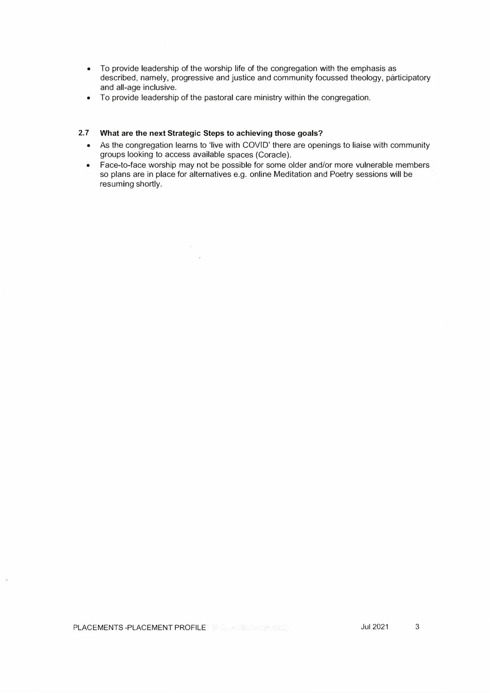- To provide leadership of the worship life of the congregation with the emphasis as described, namely, progressive and justice and community focussed theology, participatory and all-age inclusive.
- To provide leadership of the pastoral care ministry within the congregation.

#### **2.7 What are the next Strategic Steps to achieving those goals?**

 $-100$ 

- As the congregation learns to 'live with COVID' there are openings to liaise with community groups looking to access available spaces (Coracle).
- Face-to-face worship may not be possible for some older and/or more vulnerable members so plans are in place for alternatives e.g. online Meditation and Poetry sessions will be resuming shortly.